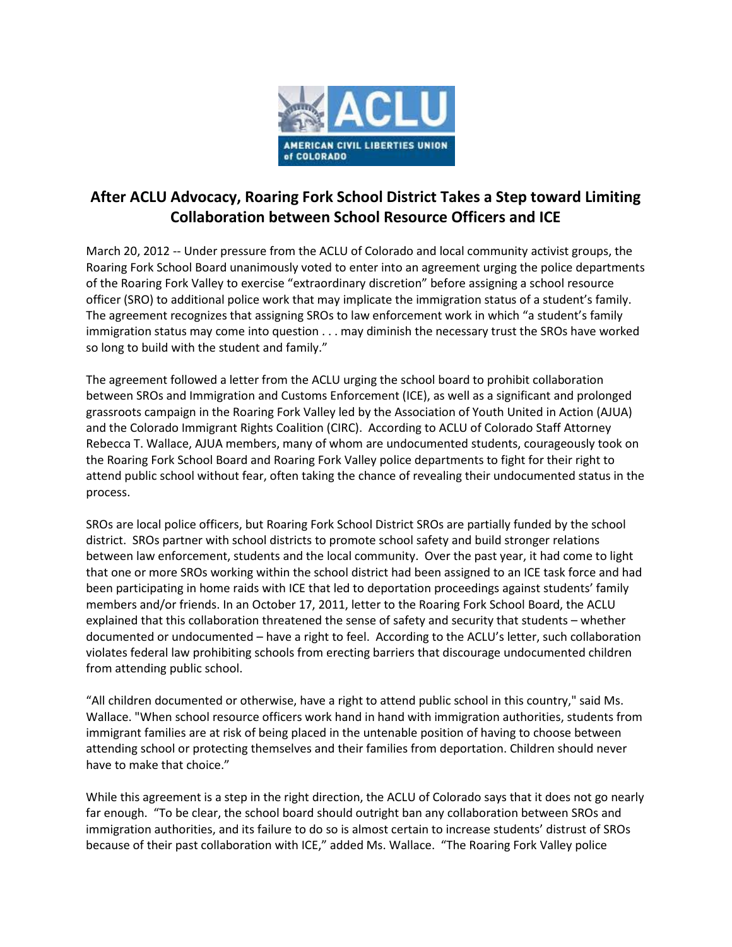

## **After ACLU Advocacy, Roaring Fork School District Takes a Step toward Limiting Collaboration between School Resource Officers and ICE**

March 20, 2012 -- Under pressure from the ACLU of Colorado and local community activist groups, the Roaring Fork School Board unanimously voted to enter into an agreement urging the police departments of the Roaring Fork Valley to exercise "extraordinary discretion" before assigning a school resource officer (SRO) to additional police work that may implicate the immigration status of a student's family. The agreement recognizes that assigning SROs to law enforcement work in which "a student's family immigration status may come into question . . . may diminish the necessary trust the SROs have worked so long to build with the student and family."

The agreement followed a letter from the ACLU urging the school board to prohibit collaboration between SROs and Immigration and Customs Enforcement (ICE), as well as a significant and prolonged grassroots campaign in the Roaring Fork Valley led by the Association of Youth United in Action (AJUA) and the Colorado Immigrant Rights Coalition (CIRC). According to ACLU of Colorado Staff Attorney Rebecca T. Wallace, AJUA members, many of whom are undocumented students, courageously took on the Roaring Fork School Board and Roaring Fork Valley police departments to fight for their right to attend public school without fear, often taking the chance of revealing their undocumented status in the process.

SROs are local police officers, but Roaring Fork School District SROs are partially funded by the school district. SROs partner with school districts to promote school safety and build stronger relations between law enforcement, students and the local community. Over the past year, it had come to light that one or more SROs working within the school district had been assigned to an ICE task force and had been participating in home raids with ICE that led to deportation proceedings against students' family members and/or friends. In an October 17, 2011, letter to the Roaring Fork School Board, the ACLU explained that this collaboration threatened the sense of safety and security that students – whether documented or undocumented – have a right to feel. According to the ACLU's letter, such collaboration violates federal law prohibiting schools from erecting barriers that discourage undocumented children from attending public school.

"All children documented or otherwise, have a right to attend public school in this country," said Ms. Wallace. "When school resource officers work hand in hand with immigration authorities, students from immigrant families are at risk of being placed in the untenable position of having to choose between attending school or protecting themselves and their families from deportation. Children should never have to make that choice."

While this agreement is a step in the right direction, the ACLU of Colorado says that it does not go nearly far enough. "To be clear, the school board should outright ban any collaboration between SROs and immigration authorities, and its failure to do so is almost certain to increase students' distrust of SROs because of their past collaboration with ICE," added Ms. Wallace. "The Roaring Fork Valley police